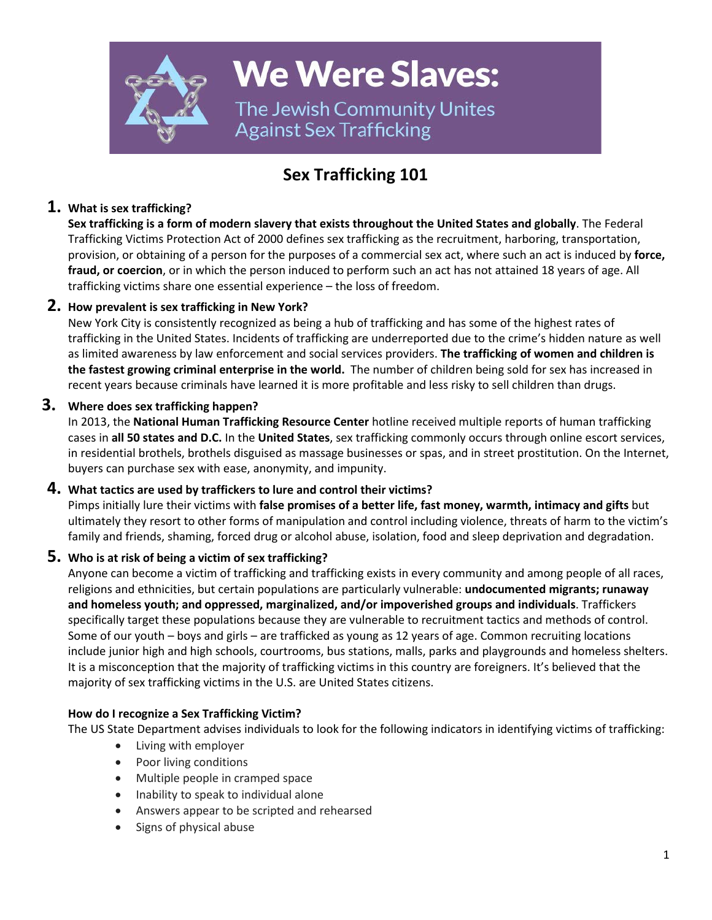

**We Were Slaves:** 

The Jewish Community Unites **Against Sex Trafficking** 

# **Sex Trafficking 101**

# **1. What is sex trafficking?**

**Sex trafficking is a form of modern slavery that exists throughout the United States and globally**. The Federal Trafficking Victims Protection Act of 2000 defines sex trafficking as the recruitment, harboring, transportation, provision, or obtaining of a person for the purposes of a commercial sex act, where such an act is induced by **force, fraud, or coercion**, or in which the person induced to perform such an act has not attained 18 years of age. All trafficking victims share one essential experience – the loss of freedom.

# **2. How prevalent is sex trafficking in New York?**

New York City is consistently recognized as being a hub of trafficking and has some of the highest rates of trafficking in the United States. Incidents of trafficking are underreported due to the crime's hidden nature as well as limited awareness by law enforcement and social services providers. **The trafficking of women and children is the fastest growing criminal enterprise in the world.** The number of children being sold for sex has increased in recent years because criminals have learned it is more profitable and less risky to sell children than drugs.

## **3. Where does sex trafficking happen?**

In 2013, the **National Human [Trafficking](http://www.traffickingresourcecenter.org/) Resource Center** hotline received multiple reports of human trafficking cases in **all 50 states and D.C.** In the **United States**, sex trafficking commonly occurs through online escort services, in residential brothels, brothels disguised as massage businesses or spas, and in street prostitution. On the Internet, buyers can purchase sex with ease, anonymity, and impunity.

## **4. What tactics are used by traffickers to lure and control their victims?**

Pimps initially lure their victims with **false promises of a better life, fast money, warmth, intimacy and gifts** but ultimately they resort to other forms of manipulation and control including violence, threats of harm to the victim's family and friends, shaming, forced drug or alcohol abuse, isolation, food and sleep deprivation and degradation.

# **5. Who is at risk of being a victim of sex trafficking?**

Anyone can become a victim of trafficking and trafficking exists in every community and among people of all races, religions and ethnicities, but certain populations are particularly vulnerable: **undocumented migrants; runaway and homeless youth; and oppressed, marginalized, and/or impoverished groups and individuals**. Traffickers specifically target these populations because they are vulnerable to recruitment tactics and methods of control. Some of our youth – boys and girls – are trafficked as young as 12 years of age. Common recruiting locations include junior high and high schools, courtrooms, bus stations, malls, parks and playgrounds and homeless shelters. It is a misconception that the majority of trafficking victims in this country are foreigners. It's believed that the majority of sex trafficking victims in the U.S. are United States citizens.

## **How do I recognize a Sex Trafficking Victim?**

The US State Department advises individuals to look for the following indicators in identifying victims of trafficking:

- Living with employer
- Poor living conditions
- Multiple people in cramped space
- Inability to speak to individual alone
- Answers appear to be scripted and rehearsed
- Signs of physical abuse